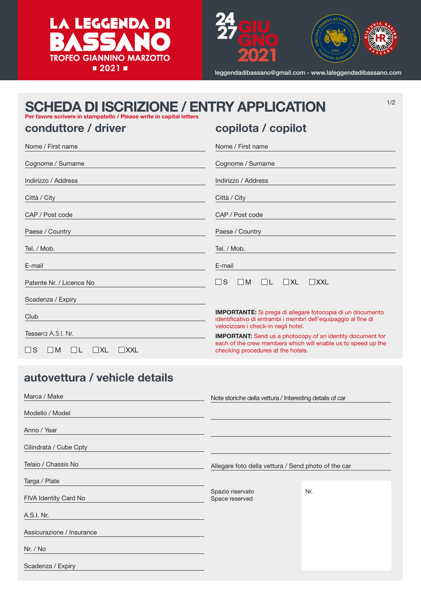



leggendadibassano@gmail.com - www.laleggendadibassano.com

1/2

# SCHEDA DI ISCRIZIONE / ENTRY APPLICATION<br>Per favore scrivere in stampatello / Please write in capital letters

## conduttore / driver

copilota / copilot

| Nome / First name                                                       | Nome / First name                                                                                                                  |  |
|-------------------------------------------------------------------------|------------------------------------------------------------------------------------------------------------------------------------|--|
| Cognome / Surname                                                       | Cognome / Surname                                                                                                                  |  |
| Indirizzo / Address                                                     | Indirizzo / Address                                                                                                                |  |
| Città / City                                                            | Città / City                                                                                                                       |  |
| CAP / Post code                                                         | CAP / Post code                                                                                                                    |  |
| Paese / Country                                                         | Paese / Country                                                                                                                    |  |
| Tel. / Mob.                                                             | Tel. / Mob.                                                                                                                        |  |
| E-mail                                                                  | E-mail                                                                                                                             |  |
| Patente Nr. / Licence No                                                | S<br>$\Box$ XL<br>- 1<br>$\Box M$<br>$\Box$<br>$ $ XXL                                                                             |  |
| Scadenza / Expiry                                                       |                                                                                                                                    |  |
|                                                                         | <b>IMPORTANTE:</b> Si prega di allegare fotocopia di un documento                                                                  |  |
| Club                                                                    | identificativo di entrambi i membri dell'equipaggio al fine di<br>velocizzare i check-in negli hotel.                              |  |
| Tessera A.S.I. Nr.                                                      | <b>IMPORTANT:</b> Send us a photocopy of an identity document for<br>each of the crew members which will enable us to speed up the |  |
| $\Box$ S<br>$\blacksquare$<br>$\vert \vert$ XL<br>$ $ $ $ XXL<br>$\Box$ | checking procedures at the hotels.                                                                                                 |  |

## autovettura / vehicle details

| Marca / Make              | Note storiche della vettura / Interesting details of car |     |
|---------------------------|----------------------------------------------------------|-----|
| Modello / Model           |                                                          |     |
| Anno / Year               |                                                          |     |
| Cilindrata / Cube Cpty    |                                                          |     |
| Telaio / Chassis No       | Allegare foto della vettura / Send photo of the car      |     |
| Targa / Plate             |                                                          |     |
| FIVA Identity Card No     | Spazio riservato<br>Space reserved                       | Nr. |
| A.S.I. Nr.                |                                                          |     |
| Assicurazione / Insurance |                                                          |     |
| Nr. / No                  |                                                          |     |
| Scadenza / Expiry         |                                                          |     |